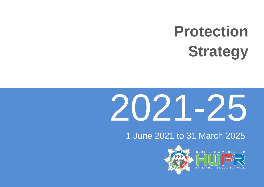## **Protection Strategy**

# 2021-25

## 1 June 2021 to 31 March 2025



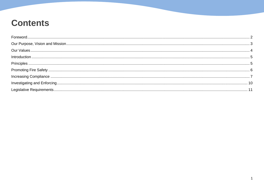## **Contents**

| $\begin{minipage}[c]{0.9\linewidth} \begin{tabular}{l} \hline \textbf{Introduction} \end{tabular} \end{minipage} \begin{tabular}{l} \textbf{5} \end{tabular} \end{minipage}$ |  |
|------------------------------------------------------------------------------------------------------------------------------------------------------------------------------|--|
|                                                                                                                                                                              |  |
|                                                                                                                                                                              |  |
|                                                                                                                                                                              |  |
|                                                                                                                                                                              |  |
|                                                                                                                                                                              |  |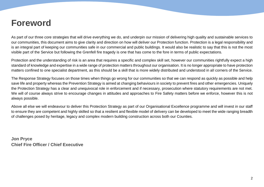## <span id="page-2-0"></span>**Foreword**

As part of our three core strategies that will drive everything we do, and underpin our mission of delivering high quality and sustainable services to our communities, this document aims to give clarity and direction on how will deliver our Protection function. Protection is a legal responsibility and is an integral part of keeping our communities safe in our commercial and public buildings. It would also be realistic to say that this is not the most visible part of the Service but following the Grenfell fire tragedy is one that has come to the fore in terms of public expectations.

Protection and the understanding of risk is an area that requires a specific and complex skill set, however our communities rightfully expect a high standard of knowledge and expertise in a wide range of protection matters throughout our organisation. It is no longer appropriate to have protection matters confined to one specialist department, as this should be a skill that is more widely distributed and understood in all corners of the Service.

The Response Strategy focuses on those times when things go wrong for our communities so that we can respond as quickly as possible and help save life and property whereas the Prevention Strategy is aimed at changing behaviours in society to prevent fires and other emergencies. Uniquely the Protection Strategy has a clear and unequivocal role in enforcement and if necessary, prosecution where statutory requirements are not met. We will of course always strive to encourage changes in attitudes and approaches to Fire Safety matters before we enforce, however this is not always possible.

Above all else we will endeavour to deliver this Protection Strategy as part of our Organisational Excellence programme and will invest in our staff to ensure they are competent and highly skilled so that a resilient and flexible model of delivery can be developed to meet the wide ranging breadth of challenges posed by heritage, legacy and complex modern building construction across both our Counties.

**Jon Pryce Chief Fire Officer / Chief Executive**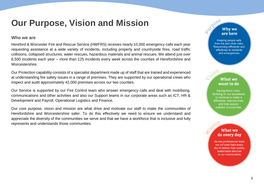## <span id="page-3-0"></span>**Our Purpose, Vision and Mission**

#### **Who we are**

Hereford & Worcester Fire and Rescue Service (HWFRS) receives nearly 10,000 emergency calls each year requesting assistance at a wide variety of incidents, including property and countryside fires, road traffic collisions, collapsed structures, water rescues, hazardous materials and animal rescues. We attend just over 6,500 incidents each year – more than 125 incidents every week across the counties of Herefordshire and Worcestershire.

Our Protection capability consists of a specialist department made up of staff that are trained and experienced at understanding fire safety issues in a range of premises. They are supported by our operational crews who inspect and audit approximately 42,000 premises across our two counties.

Our Service is supported by our Fire Control team who answer emergency calls and deal with mobilising, communications and other activities and also our Support teams in our corporate areas such as ICT, HR & Development and Payroll, Operational Logistics and Finance.

<span id="page-3-1"></span>Our core purpose, vision and mission are what drive and motivate our staff to make the communities of Herefordshire and Worcestershire safer. To do this effectively we need to ensure we understand and appreciate the diversity of the communities we serve and that we have a workforce that is inclusive and fully represents and understands those communities.

#### Why we are here

ose

Keeping people safe from fire and other risks. Responding efficiently and effectively to incidents and emergencies.

## **What we** want to do

**Saving More Lives:** Building on our successes to continue to make a difference, improve lives and help secure resilient communities.

> **What we** do every day

As one professional team we will work hard every day to deliver high quality, sustainable services to our communities.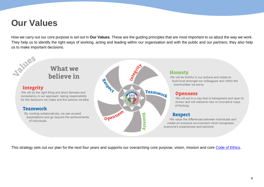## **Our Values**

How we carry out our core purpose is set out in **Our Values**. These are the guiding principles that are most important to us about the way we work. They help us to identify the right ways of working, acting and leading within our organisation and with the public and our partners; they also help us to make important decisions.



This strategy sets out our plan for the next four years and supports our overarching core purpose, vision, mission and core [Code of Ethics.](https://www.ukfrs.com/sites/default/files/2021-05/CoreCodeofEthicsEnglandFRSMay21_0.pdf)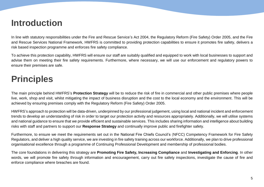## <span id="page-5-0"></span>**Introduction**

In line with statutory responsibilities under the Fire and Rescue Service's Act 2004, the Regulatory Reform (Fire Safety) Order 2005, and the Fire and Rescue Services National Framework, HWFRS is committed to providing protection capabilities to ensure it promotes fire safety, delivers a risk based inspection programme and enforces fire safety compliance.

To achieve this protection capability, HWFRS will ensure our staff are suitably qualified and equipped to work with local businesses to support and advise them on meeting their fire safety requirements. Furthermore, where necessary, we will use our enforcement and regulatory powers to ensure their premises are safe.

## <span id="page-5-1"></span>**Principles**

The main principle behind HWFRS's **Protection Strategy** will be to reduce the risk of fire in commercial and other public premises where people live, work, shop and visit, whilst mitigating the impact of business disruption and the cost to the local economy and the environment. This will be achieved by ensuring premises comply with the Regulatory Reform (Fire Safety) Order 2005.

HWFRS's approach to protection will be data-driven, underpinned by our professional judgement, using local and national incident and enforcement trends to develop an understanding of risk in order to target our protection activity and resources appropriately. Additionally, we will utilise systems and national guidance to ensure that we provide efficient and sustainable services. This includes sharing information and intelligence about building risks with staff and partners to support our **Response Strategy** and continually improve public and firefighter safety.

Furthermore, to ensure we meet the requirements set out in the National Fire Chiefs Council's (NFCC) Competency Framework for Fire Safety Regulators, and deliver a high quality service, we are investing in fire safety training across our workforce. Additionally, we plan to drive professional organisational excellence through a programme of Continuing Professional Development and membership of professional bodies.

The core foundations in delivering this strategy are **Promoting Fire Safety, Increasing Compliance** and **Investigating and Enforcing**. In other words, we will promote fire safety through information and encouragement, carry out fire safety inspections, investigate the cause of fire and enforce compliance where breaches are found.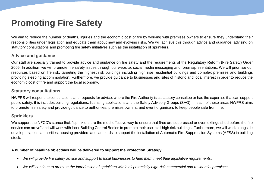## <span id="page-6-0"></span>**Promoting Fire Safety**

We aim to reduce the number of deaths, injuries and the economic cost of fire by working with premises owners to ensure they understand their responsibilities under legislation and educate them about new and evolving risks. We will achieve this through advice and guidance, advising on statutory consultations and promoting fire safety initiatives such as the installation of sprinklers.

## **Advice and guidance**

Our staff are specially trained to provide advice and guidance on fire safety and the requirements of the Regulatory Reform (Fire Safety) Order 2005. In addition, we will promote fire safety issues through our website, social media messaging and forums/presentations. We will prioritise our resources based on life risk, targeting the highest risk buildings including high rise residential buildings and complex premises and buildings providing sleeping accommodation. Furthermore, we provide guidance to businesses and sites of historic and local interest in order to reduce the economic cost of fire and support the local economy.

#### **Statutory consultations**

HWFRS will respond to consultations and requests for advice, where the Fire Authority is a statutory consultee or has the expertise that can support public safety; this includes building regulations, licensing applications and the Safety Advisory Groups (SAG). In each of these areas HWFRS aims to promote fire safety and provide guidance to authorities, premises owners, and event organisers to keep people safe from fire.

### **Sprinklers**

We support the NFCC's stance that: "sprinklers are the most effective way to ensure that fires are suppressed or even extinguished before the fire service can arrive" and will work with local Building Control Bodies to promote their use in all high risk buildings. Furthermore, we will work alongside developers, local authorities, housing providers and landlords to support the installation of Automatic Fire Suppression Systems (AFSS) in building stock.

#### **A number of headline objectives will be delivered to support the Protection Strategy:**

- *We will provide fire safety advice and support to local businesses to help them meet their legislative requirements.*
- *We will continue to promote the introduction of sprinklers within all potentially high-risk commercial and residential premises.*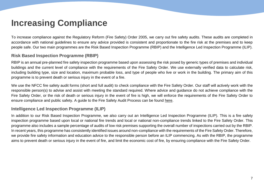## <span id="page-7-0"></span>**Increasing Compliance**

To increase compliance against the Regulatory Reform (Fire Safety) Order 2005, we carry out fire safety audits. These audits are completed in accordance with national guidelines to ensure any advice provided is consistent and proportionate to the fire risk at the premises and to keep people safe. Our two main programmes are the Risk Based Inspection Programme (RBIP) and the Intelligence Led Inspection Programme (ILIP).

## **Risk Based Inspection Programme (RBIP)**

RBIP is an annual pre-planned fire safety inspection programme based upon assessing the risk posed by generic types of premises and individual buildings and the current level of compliance with the requirements of the Fire Safety Order. We use externally verified data to calculate risk, including building type, size and location, maximum probable loss, and type of people who live or work in the building. The primary aim of this programme is to prevent death or serious injury in the event of a fire.

We use the NFCC fire safety audit forms (short and full audit) to check compliance with the Fire Safety Order. Our staff will actively work with the responsible person(s) to advise and assist with meeting the standard required. Where advice and guidance do not achieve compliance with the Fire Safety Order, or the risk of death or serious injury in the event of fire is high, we will enforce the requirements of the Fire Safety Order to ensure compliance and public safety. A guide to the Fire Safety Audit Process can be found [here.](https://www.hwfire.org.uk/assets/files/how-we-carry-out-a-fire-safety-inspection-of-your-premises-web.pdf)

## **Intelligence Led Inspection Programme (ILIP)**

In addition to our Risk Based Inspection Programme, we also carry out an Intelligence Led Inspection Programme (ILIP). This is a fire safety inspection programme based upon local or national fire trends and local or national non-compliance trends linked to the Fire Safety Order. This programme also includes a sample percentage of audits of low risk premises supporting the overall number of inspections carried out by the RBIP. In recent years, this programme has consistently identified issues around non-compliance with the requirements of the Fire Safety Order. Therefore, we provide fire safety information and education advice to the responsible person before an ILIP commencing. As with the RBIP, the programme aims to prevent death or serious injury in the event of fire, and limit the economic cost of fire, by ensuring compliance with the Fire Safety Order.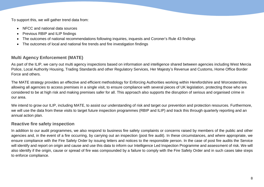To support this, we will gather trend data from:

- NFCC and national data sources
- Previous RBIP and ILIP findings
- The outcomes of national recommendations following inquiries, inquests and Coroner's Rule 43 findings
- The outcomes of local and national fire trends and fire investigation findings

## **Multi Agency Enforcement (MATE)**

As part of the ILIP, we carry out multi agency inspections based on information and intelligence shared between agencies including West Mercia Police, Local Authority Housing, Trading Standards and other Regulatory Services, Her Majesty's Revenue and Customs, Home Office Border Force and others.

The MATE strategy provides an effective and efficient methodology for Enforcing Authorities working within Herefordshire and Worcestershire, allowing all agencies to access premises in a single visit, to ensure compliance with several pieces of UK legislation, protecting those who are considered to be at high risk and making premises safer for all. This approach also supports the disruption of serious and organised crime in our area.

We intend to grow our ILIP, including MATE, to assist our understanding of risk and target our prevention and protection resources. Furthermore, we will use the data from these visits to target future inspection programmes (RBIP and ILIP) and track this through quarterly reporting and an annual action plan.

### **Reactive fire safety inspection**

In addition to our audit programmes, we also respond to business fire safety [complaints or concerns](https://www.hwfire.org.uk/safety-and-advice/business-safety/) raised by members of the public and other agencies and, in the event of a fire occurring, by carrying out an inspection (post fire audit). In these circumstances, and where appropriate, we ensure compliance with the Fire Safety Order by issuing letters and notices to the responsible person. In the case of post fire audits the Service will identify and report on origin and cause and use this data to inform our Intelligence Led Inspection Programme and assessment of risk. We will also identify if the origin, cause or spread of fire was compounded by a failure to comply with the Fire Safety Order and in such cases take steps to enforce compliance.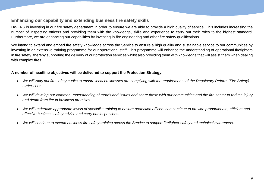## **Enhancing our capability and extending business fire safety skills**

HWFRS is investing in our fire safety department in order to ensure we are able to provide a high quality of service. This includes increasing the number of inspecting officers and providing them with the knowledge, skills and experience to carry out their roles to the highest standard. Furthermore, we are enhancing our capabilities by investing in fire engineering and other fire safety qualifications.

We intend to extend and embed fire safety knowledge across the Service to ensure a high quality and sustainable service to our communities by investing in an extensive training programme for our operational staff. This programme will enhance the understanding of operational firefighters in fire safety, thereby supporting the delivery of our protection services whilst also providing them with knowledge that will assist them when dealing with complex fires.

#### **A number of headline objectives will be delivered to support the Protection Strategy:**

- We will carry out fire safety audits to ensure local businesses are complying with the requirements of the Regulatory Reform (Fire Safety) *Order 2005.*
- *We will develop our common understanding of trends and issues and share these with our communities and the fire sector to reduce injury and death from fire in business premises.*
- *We will undertake appropriate levels of specialist training to ensure protection officers can continue to provide proportionate, efficient and effective business safety advice and carry out inspections.*
- *We will continue to extend business fire safety training across the Service to support firefighter safety and technical awareness.*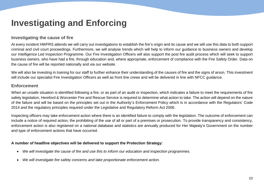## <span id="page-10-0"></span>**Investigating and Enforcing**

## **Investigating the cause of fire**

At every incident HWFRS attends we will carry out investigations to establish the fire's origin and its cause and we will use this data to both support criminal and civil court proceedings. Furthermore, we will analyse trends which will help to inform our guidance to business owners and develop our Intelligence Led Inspection Programme. Our Fire Investigation Officers will also support the post fire audit process which will seek to support business owners, who have had a fire, through education and, where appropriate, enforcement of compliance with the Fire Safety Order. Data on the cause of fire will be reported nationally and via our website.

We will also be investing in training for our staff to further enhance their understanding of the causes of fire and the signs of arson. This investment will include our specialist Fire Investigation Officers as well as front line crews and will be delivered in line with NFCC guidance.

### **Enforcement**

When an unsafe situation is identified following a fire, or as part of an audit or inspection, which indicates a failure to meet the requirements of fire safety legislation, Hereford & Worcester Fire and Rescue Service is required to determine what action to take. The action will depend on the nature of the failure and will be based on the principles set out in the Authority's Enforcement Policy which is in accordance with the Regulators' Code 2014 and the regulatory principles required under the Legislative and Regulatory Reform Act 2006.

Inspecting officers may take enforcement action where there is an identified failure to comply with the legislation. The outcome of enforcement can include a notice of required action, the prohibiting of the use of all or part of a premises or prosecution. To provide transparency and consistency, enforcement action is also registered on a [national database a](http://www.cfoa.org.uk/11823)nd statistics are annually produced for Her Majesty's Government on the number and type of enforcement actions that have occurred.

#### **A number of headline objectives will be delivered to support the Protection Strategy:**

- *We will investigate the cause of fire and use this to inform our education and inspection programmes.*
- *We will investigate fire safety concerns and take proportionate enforcement action.*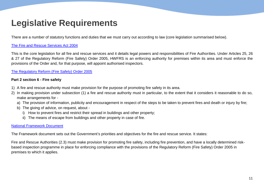## <span id="page-11-0"></span>**Legislative Requirements**

There are a number of statutory functions and duties that we must carry out according to law (core legislation summarised below).

#### [The Fire and Rescue Services Act 2004](https://www.legislation.gov.uk/ukpga/2004/21/contents)

This is the core legislation for all fire and rescue services and it details legal powers and responsibilities of Fire Authorities. Under Articles 25, 26 & 27 of the Regulatory Reform (Fire Safety) Order 2005, HWFRS is an enforcing authority for premises within its area and must enforce the provisions of the Order and, for that purpose, will appoint authorised inspectors.

[The Regulatory Reform \(Fire Safety\) Order 2005](https://www.legislation.gov.uk/uksi/2005/1541/contents/made)

#### **Part 2 section 6 - Fire safety**

- 1) A fire and rescue authority must make provision for the purpose of promoting fire safety in its area.
- 2) In making provision under subsection (1) a fire and rescue authority must in particular, to the extent that it considers it reasonable to do so, make arrangements for
	- a) The provision of information, publicity and encouragement in respect of the steps to be taken to prevent fires and death or injury by fire;
	- b) The giving of advice, on request, about
		- i) How to prevent fires and restrict their spread in buildings and other property;
		- ii) The means of escape from buildings and other property in case of fire.

#### [National Framework Document](https://assets.publishing.service.gov.uk/government/uploads/system/uploads/attachment_data/file/705060/National_Framework_-_final_for_web.pdf)

The Framework document sets out the Government's priorities and objectives for the fire and rescue service. It states:

Fire and Rescue Authorities (2.3) must make provision for promoting fire safety, including fire prevention, and have a locally determined riskbased inspection programme in place for enforcing compliance with the provisions of the Regulatory Reform (Fire Safety) Order 2005 in premises to which it applies.